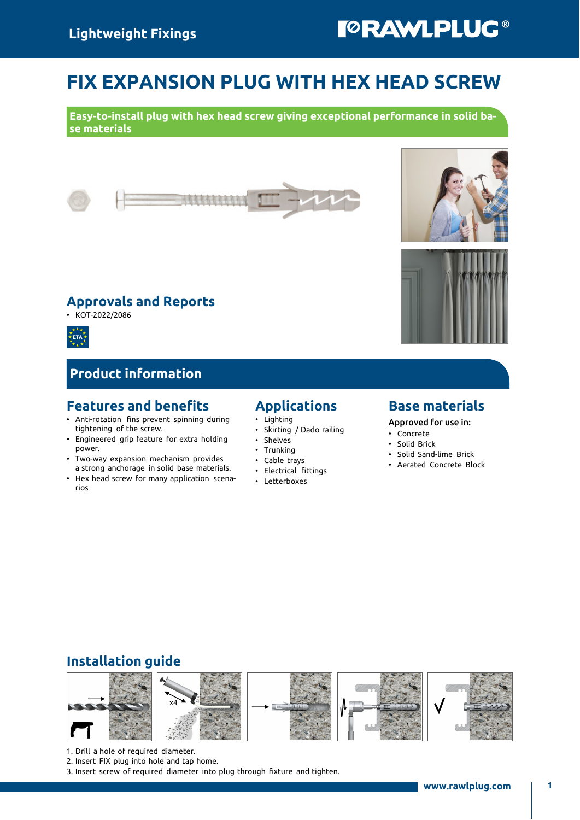# FIX EXPANSION PLUG WITH HEX HEAD SCREW

Easy-to-install plug with hex head screw giving exceptional performance in solid base materials







### Product information

#### Features and benefits

- Anti-rotation fins prevent spinning during tightening of the screw.
- Engineered grip feature for extra holding power.
- Two-way expansion mechanism provides a strong anchorage in solid base materials.
- Hex head screw for many application scenarios

# Applications

- Lighting
- Skirting / Dado railing
- Shelves
- Trunking
- Cable trays
- Electrical fittings
- Letterboxes

#### Base materials

Approved for use in:

- Concrete
- Solid Brick
- Solid Sand-lime Brick
- Aerated Concrete Block

### Installation guide



- 1. Drill a hole of required diameter.
- 2. Insert FIX plug into hole and tap home.
- 3. Insert screw of required diameter into plug through fixture and tighten.





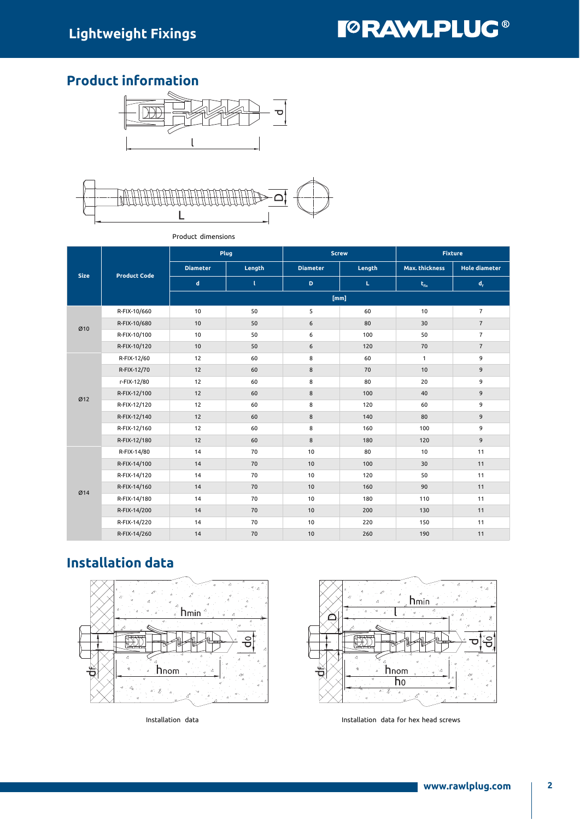## Product information





|             | <b>Product Code</b> |                 | Plug   |                 | <b>Screw</b> | <b>Fixture</b>        |                           |  |  |  |
|-------------|---------------------|-----------------|--------|-----------------|--------------|-----------------------|---------------------------|--|--|--|
| <b>Size</b> |                     | <b>Diameter</b> | Length | <b>Diameter</b> | Length       | <b>Max. thickness</b> | <b>Hole diameter</b>      |  |  |  |
|             |                     | $\mathsf d$     | τ      | $\mathbf D$     | $\mathbf L$  | $t_{fix}$             | $\mathsf{d}_{\mathsf{f}}$ |  |  |  |
|             |                     | [mm]            |        |                 |              |                       |                           |  |  |  |
|             | R-FIX-10/660        | 10              | 50     | 5               | 60           | 10                    | $\overline{7}$            |  |  |  |
|             | R-FIX-10/680        | 10              | 50     | 6               | 80           | 30                    | $\overline{7}$            |  |  |  |
| Ø10         | R-FIX-10/100        | 10              | 50     | 6               | 100          | 50                    | $\overline{7}$            |  |  |  |
|             | R-FIX-10/120        | 10              | 50     | 6               | 120          | 70                    | $\overline{7}$            |  |  |  |
|             | R-FIX-12/60         | 12              | 60     | 8               | 60           | $\mathbf{1}$          | 9                         |  |  |  |
|             | R-FIX-12/70         | 12              | 60     | $\bf 8$         | 70           | 10                    | 9                         |  |  |  |
|             | r-FIX-12/80         | 12              | 60     | 8               | 80           | 20                    | 9                         |  |  |  |
| Ø12         | R-FIX-12/100        | 12              | 60     | 8               | 100          | 40                    | 9                         |  |  |  |
|             | R-FIX-12/120        | 12              | 60     | 8               | 120          | 60                    | 9                         |  |  |  |
|             | R-FIX-12/140        | 12              | 60     | 8               | 140          | 80                    | 9                         |  |  |  |
|             | R-FIX-12/160        | 12              | 60     | 8               | 160          | 100                   | 9                         |  |  |  |
|             | R-FIX-12/180        | 12              | 60     | 8               | 180          | 120                   | 9                         |  |  |  |
|             | R-FIX-14/80         | 14              | 70     | 10              | 80           | 10                    | 11                        |  |  |  |
|             | R-FIX-14/100        | 14              | 70     | 10              | 100          | 30                    | 11                        |  |  |  |
|             | R-FIX-14/120        | 14              | 70     | 10              | 120          | 50                    | 11                        |  |  |  |
|             | R-FIX-14/160        | 14              | 70     | 10              | 160          | 90                    | 11                        |  |  |  |
| Ø14         | R-FIX-14/180        | 14              | 70     | 10              | 180          | 110                   | 11                        |  |  |  |
|             | R-FIX-14/200        | 14              | 70     | 10              | 200          | 130                   | 11                        |  |  |  |
|             | R-FIX-14/220        | 14              | 70     | 10              | 220          | 150                   | 11                        |  |  |  |
|             | R-FIX-14/260        | 14              | 70     | 10              | 260          | 190                   | 11                        |  |  |  |

Product dimensions

# Installation data





Installation data Installation data for hex head screws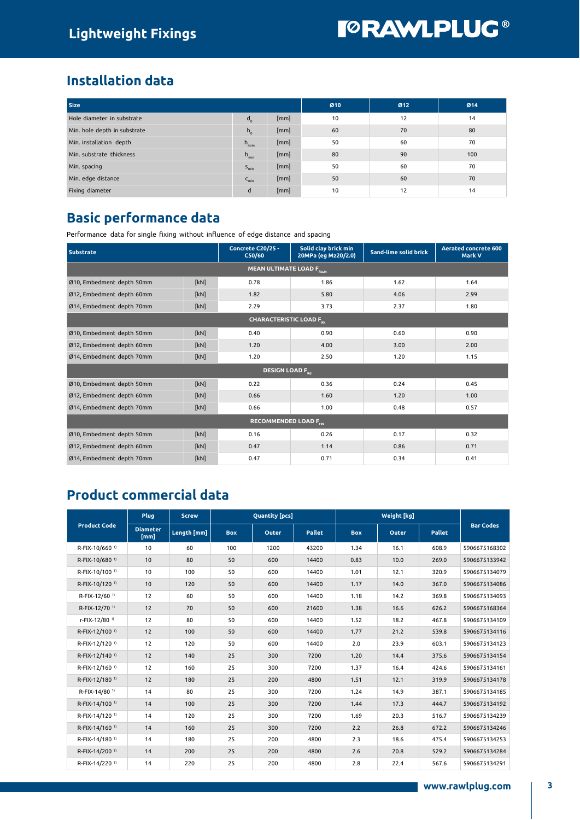# **TORAWLPLUG®**

## Installation data

| Size                         | Ø10              | Ø12  | Ø14 |    |     |
|------------------------------|------------------|------|-----|----|-----|
| Hole diameter in substrate   | $d_{o}$          | [mm] | 10  | 12 | 14  |
| Min. hole depth in substrate | $h_{0}$          | [mm] | 60  | 70 | 80  |
| Min. installation depth      | $h_{\text{nom}}$ | [mm] | 50  | 60 | 70  |
| Min. substrate thickness     | $h_{\min}$       | [mm] | 80  | 90 | 100 |
| Min. spacing                 | $S_{\min}$       | [mm] | 50  | 60 | 70  |
| Min. edge distance           | $C_{\text{min}}$ | [mm] | 50  | 60 | 70  |
| Fixing diameter              | d                | [mm] | 10  | 12 | 14  |

### Basic performance data

Performance data for single fixing without influence of edge distance and spacing

| <b>Substrate</b>                     | Concrete C20/25 -<br>C50/60 | Solid clay brick min<br>20MPa (eg Mz20/2.0) | Sand-lime solid brick | <b>Aerated concrete 600</b><br>Mark V |      |  |  |  |  |  |  |
|--------------------------------------|-----------------------------|---------------------------------------------|-----------------------|---------------------------------------|------|--|--|--|--|--|--|
| MEAN ULTIMATE LOAD F <sub>Ru,m</sub> |                             |                                             |                       |                                       |      |  |  |  |  |  |  |
| Ø10, Embedment depth 50mm            | [kN]                        | 0.78                                        | 1.86                  | 1.62                                  | 1.64 |  |  |  |  |  |  |
| Ø12, Embedment depth 60mm            | [kN]                        | 1.82                                        | 5.80                  | 4.06                                  | 2.99 |  |  |  |  |  |  |
| Ø14, Embedment depth 70mm            | [kN]                        | 2.29                                        | 3.73                  | 2.37                                  | 1.80 |  |  |  |  |  |  |
| CHARACTERISTIC LOAD F <sub>or</sub>  |                             |                                             |                       |                                       |      |  |  |  |  |  |  |
| Ø10, Embedment depth 50mm            | [kN]                        | 0.40                                        | 0.90                  | 0.60                                  | 0.90 |  |  |  |  |  |  |
| Ø12, Embedment depth 60mm            | [kN]                        | 1.20                                        | 4.00                  | 3.00                                  | 2.00 |  |  |  |  |  |  |
| Ø14, Embedment depth 70mm            | [kN]                        | 1.20                                        | 2.50                  | 1.20                                  | 1.15 |  |  |  |  |  |  |
| <b>DESIGN LOAD For</b>               |                             |                                             |                       |                                       |      |  |  |  |  |  |  |
| Ø10, Embedment depth 50mm            | [kN]                        | 0.22                                        | 0.36                  | 0.24                                  | 0.45 |  |  |  |  |  |  |
| Ø12, Embedment depth 60mm            | [kN]                        | 0.66                                        | 1.60                  | 1.20                                  | 1.00 |  |  |  |  |  |  |
| Ø14, Embedment depth 70mm            | [kN]                        | 0.66                                        | 1.00                  | 0.48                                  | 0.57 |  |  |  |  |  |  |
| <b>RECOMMENDED LOAD Free</b>         |                             |                                             |                       |                                       |      |  |  |  |  |  |  |
| Ø10, Embedment depth 50mm            | [kN]                        | 0.16                                        | 0.26                  | 0.17                                  | 0.32 |  |  |  |  |  |  |
| Ø12, Embedment depth 60mm            | [kN]                        | 0.47                                        | 1.14                  | 0.86                                  | 0.71 |  |  |  |  |  |  |
| Ø14, Embedment depth 70mm            | [kN]                        | 0.47                                        | 0.71                  | 0.34                                  | 0.41 |  |  |  |  |  |  |

# Product commercial data

|                            | Plug                    | <b>Screw</b> | <b>Quantity [pcs]</b> |       |               |            |       |               |                  |
|----------------------------|-------------------------|--------------|-----------------------|-------|---------------|------------|-------|---------------|------------------|
| <b>Product Code</b>        | <b>Diameter</b><br>[mm] | Length [mm]  | <b>Box</b>            | Outer | <b>Pallet</b> | <b>Box</b> | Outer | <b>Pallet</b> | <b>Bar Codes</b> |
| R-FIX-10/660 <sup>1)</sup> | 10                      | 60           | 100                   | 1200  | 43200         | 1.34       | 16.1  | 608.9         | 5906675168302    |
| R-FIX-10/680 <sup>1)</sup> | 10                      | 80           | 50                    | 600   | 14400         | 0.83       | 10.0  | 269.0         | 5906675133942    |
| R-FIX-10/100 <sup>1)</sup> | 10                      | 100          | 50                    | 600   | 14400         | 1.01       | 12.1  | 320.9         | 5906675134079    |
| R-FIX-10/120 <sup>1)</sup> | 10                      | 120          | 50                    | 600   | 14400         | 1.17       | 14.0  | 367.0         | 5906675134086    |
| R-FIX-12/60 <sup>1)</sup>  | 12                      | 60           | 50                    | 600   | 14400         | 1.18       | 14.2  | 369.8         | 5906675134093    |
| R-FIX-12/70 <sup>1)</sup>  | 12                      | 70           | 50                    | 600   | 21600         | 1.38       | 16.6  | 626.2         | 5906675168364    |
| r-FIX-12/80 <sup>1)</sup>  | 12                      | 80           | 50                    | 600   | 14400         | 1.52       | 18.2  | 467.8         | 5906675134109    |
| R-FIX-12/100 <sup>1)</sup> | 12                      | 100          | 50                    | 600   | 14400         | 1.77       | 21.2  | 539.8         | 5906675134116    |
| R-FIX-12/120 <sup>1)</sup> | 12                      | 120          | 50                    | 600   | 14400         | 2.0        | 23.9  | 603.1         | 5906675134123    |
| R-FIX-12/140 <sup>1)</sup> | 12                      | 140          | 25                    | 300   | 7200          | 1.20       | 14.4  | 375.6         | 5906675134154    |
| R-FIX-12/160 <sup>1)</sup> | 12                      | 160          | 25                    | 300   | 7200          | 1.37       | 16.4  | 424.6         | 5906675134161    |
| R-FIX-12/180 <sup>1)</sup> | 12                      | 180          | 25                    | 200   | 4800          | 1.51       | 12.1  | 319.9         | 5906675134178    |
| R-FIX-14/80 <sup>1)</sup>  | 14                      | 80           | 25                    | 300   | 7200          | 1.24       | 14.9  | 387.1         | 5906675134185    |
| R-FIX-14/100 <sup>1)</sup> | 14                      | 100          | 25                    | 300   | 7200          | 1.44       | 17.3  | 444.7         | 5906675134192    |
| R-FIX-14/120 <sup>1)</sup> | 14                      | 120          | 25                    | 300   | 7200          | 1.69       | 20.3  | 516.7         | 5906675134239    |
| R-FIX-14/160 <sup>1)</sup> | 14                      | 160          | 25                    | 300   | 7200          | 2.2        | 26.8  | 672.2         | 5906675134246    |
| R-FIX-14/180 <sup>1)</sup> | 14                      | 180          | 25                    | 200   | 4800          | 2.3        | 18.6  | 475.4         | 5906675134253    |
| R-FIX-14/200 <sup>1)</sup> | 14                      | 200          | 25                    | 200   | 4800          | 2.6        | 20.8  | 529.2         | 5906675134284    |
| R-FIX-14/220 <sup>1)</sup> | 14                      | 220          | 25                    | 200   | 4800          | 2.8        | 22.4  | 567.6         | 5906675134291    |